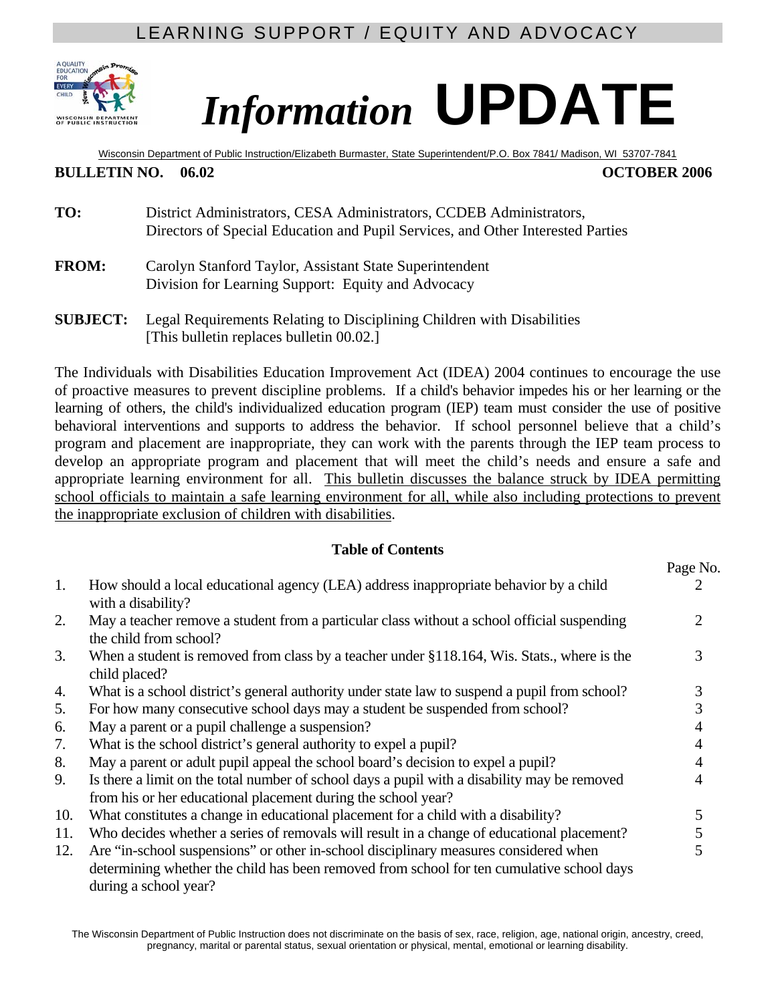## LEARNING SUPPORT / EQUITY AND ADVOCACY



# *Information* **UPDATE**

Wisconsin Department of Public Instruction/Elizabeth Burmaster, State Superintendent/P.O. Box 7841/ Madison, WI 53707-7841

#### **BULLETIN NO.** 06.02 **OCTOBER 2006**

- **TO:** District Administrators, CESA Administrators, CCDEB Administrators, Directors of Special Education and Pupil Services, and Other Interested Parties
- **FROM:** Carolyn Stanford Taylor, Assistant State Superintendent Division for Learning Support: Equity and Advocacy
- **SUBJECT:** Legal Requirements Relating to Disciplining Children with Disabilities [This bulletin replaces bulletin 00.02.]

The Individuals with Disabilities Education Improvement Act (IDEA) 2004 continues to encourage the use of proactive measures to prevent discipline problems. If a child's behavior impedes his or her learning or the learning of others, the child's individualized education program (IEP) team must consider the use of positive behavioral interventions and supports to address the behavior. If school personnel believe that a child's program and placement are inappropriate, they can work with the parents through the IEP team process to develop an appropriate program and placement that will meet the child's needs and ensure a safe and appropriate learning environment for all. This bulletin discusses the balance struck by IDEA permitting school officials to maintain a safe learning environment for all, while also including protections to prevent the inappropriate exclusion of children with disabilities.

#### **Table of Contents**

|     |                                                                                                                                                                                                            | Page No. |
|-----|------------------------------------------------------------------------------------------------------------------------------------------------------------------------------------------------------------|----------|
| 1.  | How should a local educational agency (LEA) address inappropriate behavior by a child<br>with a disability?                                                                                                |          |
| 2.  | May a teacher remove a student from a particular class without a school official suspending<br>the child from school?                                                                                      | 2.       |
| 3.  | When a student is removed from class by a teacher under §118.164, Wis. Stats., where is the<br>child placed?                                                                                               | 3        |
| 4.  | What is a school district's general authority under state law to suspend a pupil from school?                                                                                                              | 3        |
| 5.  | For how many consecutive school days may a student be suspended from school?                                                                                                                               | 3        |
| 6.  | May a parent or a pupil challenge a suspension?                                                                                                                                                            |          |
| 7.  | What is the school district's general authority to expel a pupil?                                                                                                                                          |          |
| 8.  | May a parent or adult pupil appeal the school board's decision to expel a pupil?                                                                                                                           | 4        |
| 9.  | Is there a limit on the total number of school days a pupil with a disability may be removed<br>from his or her educational placement during the school year?                                              | 4        |
| 10. | What constitutes a change in educational placement for a child with a disability?                                                                                                                          | 5        |
| 11. | Who decides whether a series of removals will result in a change of educational placement?                                                                                                                 | 5        |
| 12. | Are "in-school suspensions" or other in-school disciplinary measures considered when<br>determining whether the child has been removed from school for ten cumulative school days<br>during a school year? | 5        |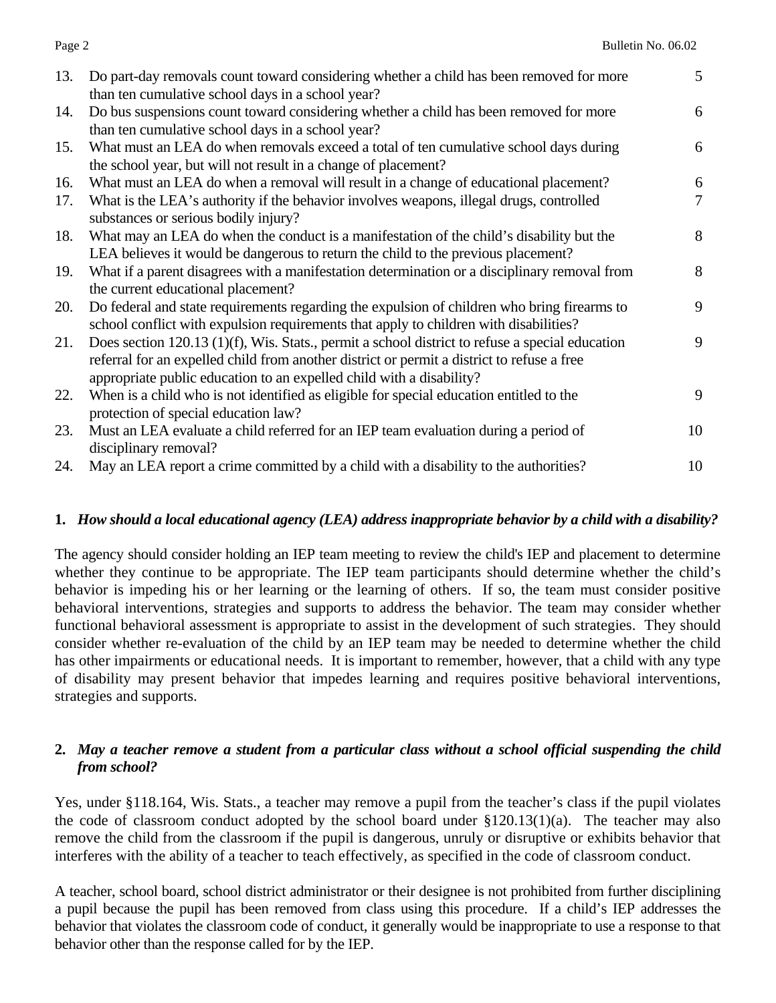| Do part-day removals count toward considering whether a child has been removed for more<br>$\mathfrak{S}$<br>6 |
|----------------------------------------------------------------------------------------------------------------|
|                                                                                                                |
|                                                                                                                |
|                                                                                                                |
|                                                                                                                |
| What must an LEA do when removals exceed a total of ten cumulative school days during<br>6                     |
|                                                                                                                |
| 6                                                                                                              |
| $\tau$                                                                                                         |
|                                                                                                                |
| 8                                                                                                              |
|                                                                                                                |
| 8<br>What if a parent disagrees with a manifestation determination or a disciplinary removal from              |
|                                                                                                                |
| 9<br>Do federal and state requirements regarding the expulsion of children who bring firearms to               |
|                                                                                                                |
| Does section 120.13 $(1)(f)$ , Wis. Stats., permit a school district to refuse a special education<br>9        |
|                                                                                                                |
|                                                                                                                |
| 9                                                                                                              |
|                                                                                                                |
| 10                                                                                                             |
|                                                                                                                |
| 10                                                                                                             |
|                                                                                                                |

#### **1.** *How should a local educational agency (LEA) address inappropriate behavior by a child with a disability?*

The agency should consider holding an IEP team meeting to review the child's IEP and placement to determine whether they continue to be appropriate. The IEP team participants should determine whether the child's behavior is impeding his or her learning or the learning of others. If so, the team must consider positive behavioral interventions, strategies and supports to address the behavior. The team may consider whether functional behavioral assessment is appropriate to assist in the development of such strategies. They should consider whether re-evaluation of the child by an IEP team may be needed to determine whether the child has other impairments or educational needs. It is important to remember, however, that a child with any type of disability may present behavior that impedes learning and requires positive behavioral interventions, strategies and supports.

#### **2.** *May a teacher remove a student from a particular class without a school official suspending the child from school?*

Yes, under §118.164, Wis. Stats., a teacher may remove a pupil from the teacher's class if the pupil violates the code of classroom conduct adopted by the school board under  $\S 120.13(1)(a)$ . The teacher may also remove the child from the classroom if the pupil is dangerous, unruly or disruptive or exhibits behavior that interferes with the ability of a teacher to teach effectively, as specified in the code of classroom conduct.

A teacher, school board, school district administrator or their designee is not prohibited from further disciplining a pupil because the pupil has been removed from class using this procedure. If a child's IEP addresses the behavior that violates the classroom code of conduct, it generally would be inappropriate to use a response to that behavior other than the response called for by the IEP.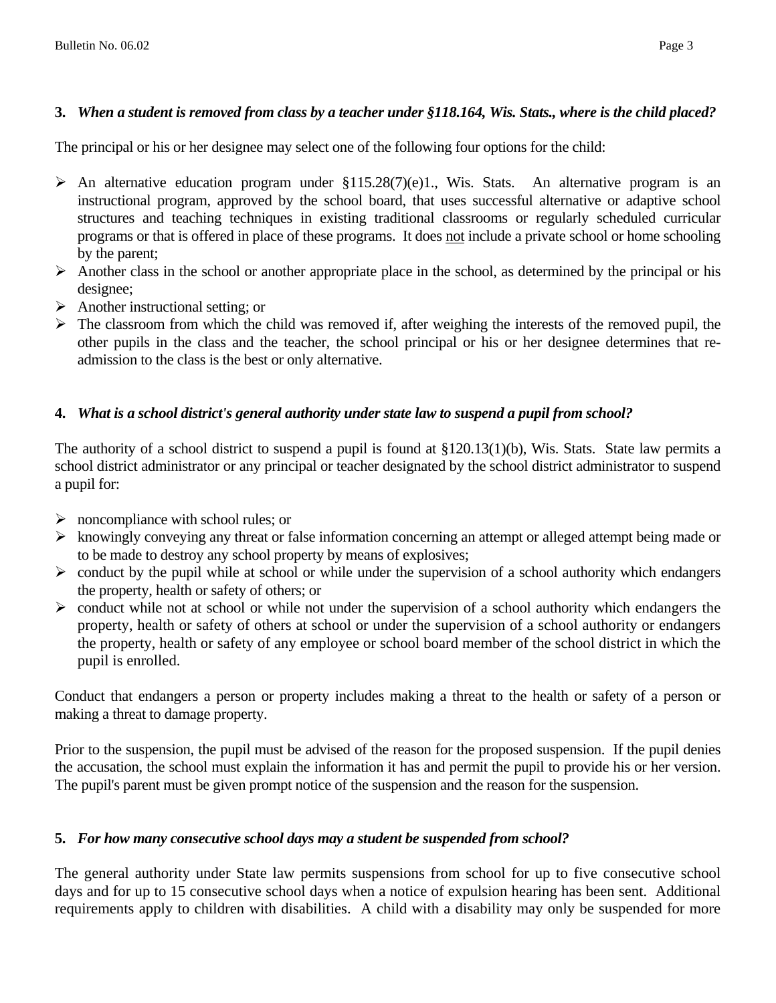#### **3.** *When a student is removed from class by a teacher under §118.164, Wis. Stats., where is the child placed?*

The principal or his or her designee may select one of the following four options for the child:

- $\triangleright$  An alternative education program under §115.28(7)(e)1., Wis. Stats. An alternative program is an instructional program, approved by the school board, that uses successful alternative or adaptive school structures and teaching techniques in existing traditional classrooms or regularly scheduled curricular programs or that is offered in place of these programs. It does not include a private school or home schooling by the parent;
- $\triangleright$  Another class in the school or another appropriate place in the school, as determined by the principal or his designee;
- $\triangleright$  Another instructional setting; or
- $\triangleright$  The classroom from which the child was removed if, after weighing the interests of the removed pupil, the other pupils in the class and the teacher, the school principal or his or her designee determines that readmission to the class is the best or only alternative.

#### **4.** *What is a school district's general authority under state law to suspend a pupil from school?*

The authority of a school district to suspend a pupil is found at  $\S120.13(1)$ (b), Wis. Stats. State law permits a school district administrator or any principal or teacher designated by the school district administrator to suspend a pupil for:

- $\triangleright$  noncompliance with school rules; or
- $\triangleright$  knowingly conveying any threat or false information concerning an attempt or alleged attempt being made or to be made to destroy any school property by means of explosives;
- $\triangleright$  conduct by the pupil while at school or while under the supervision of a school authority which endangers the property, health or safety of others; or
- $\triangleright$  conduct while not at school or while not under the supervision of a school authority which endangers the property, health or safety of others at school or under the supervision of a school authority or endangers the property, health or safety of any employee or school board member of the school district in which the pupil is enrolled.

Conduct that endangers a person or property includes making a threat to the health or safety of a person or making a threat to damage property.

Prior to the suspension, the pupil must be advised of the reason for the proposed suspension. If the pupil denies the accusation, the school must explain the information it has and permit the pupil to provide his or her version. The pupil's parent must be given prompt notice of the suspension and the reason for the suspension.

#### **5.** *For how many consecutive school days may a student be suspended from school?*

The general authority under State law permits suspensions from school for up to five consecutive school days and for up to 15 consecutive school days when a notice of expulsion hearing has been sent. Additional requirements apply to children with disabilities. A child with a disability may only be suspended for more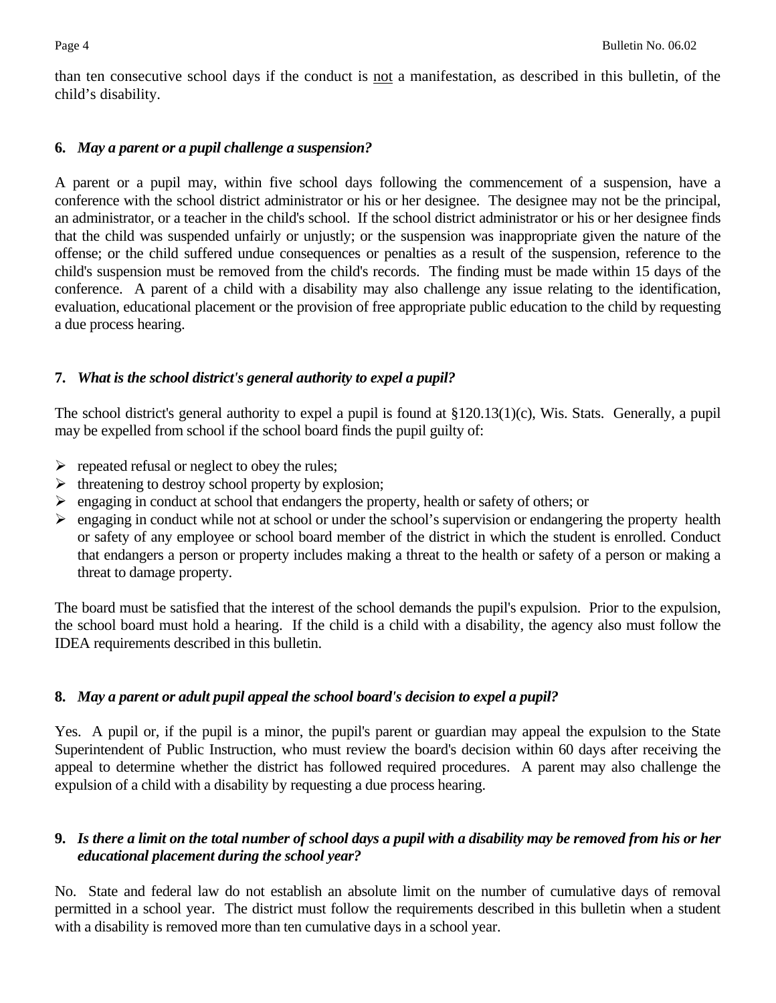than ten consecutive school days if the conduct is not a manifestation, as described in this bulletin, of the child's disability.

#### **6.** *May a parent or a pupil challenge a suspension?*

A parent or a pupil may, within five school days following the commencement of a suspension, have a conference with the school district administrator or his or her designee. The designee may not be the principal, an administrator, or a teacher in the child's school. If the school district administrator or his or her designee finds that the child was suspended unfairly or unjustly; or the suspension was inappropriate given the nature of the offense; or the child suffered undue consequences or penalties as a result of the suspension, reference to the child's suspension must be removed from the child's records. The finding must be made within 15 days of the conference. A parent of a child with a disability may also challenge any issue relating to the identification, evaluation, educational placement or the provision of free appropriate public education to the child by requesting a due process hearing.

#### **7.** *What is the school district's general authority to expel a pupil?*

The school district's general authority to expel a pupil is found at §120.13(1)(c), Wis. Stats. Generally, a pupil may be expelled from school if the school board finds the pupil guilty of:

- $\triangleright$  repeated refusal or neglect to obey the rules;
- $\triangleright$  threatening to destroy school property by explosion;
- ¾ engaging in conduct at school that endangers the property, health or safety of others; or
- $\triangleright$  engaging in conduct while not at school or under the school's supervision or endangering the property health or safety of any employee or school board member of the district in which the student is enrolled. Conduct that endangers a person or property includes making a threat to the health or safety of a person or making a threat to damage property.

The board must be satisfied that the interest of the school demands the pupil's expulsion. Prior to the expulsion, the school board must hold a hearing. If the child is a child with a disability, the agency also must follow the IDEA requirements described in this bulletin.

#### **8.** *May a parent or adult pupil appeal the school board's decision to expel a pupil?*

Yes. A pupil or, if the pupil is a minor, the pupil's parent or guardian may appeal the expulsion to the State Superintendent of Public Instruction, who must review the board's decision within 60 days after receiving the appeal to determine whether the district has followed required procedures. A parent may also challenge the expulsion of a child with a disability by requesting a due process hearing.

#### **9.** *Is there a limit on the total number of school days a pupil with a disability may be removed from his or her educational placement during the school year?*

No. State and federal law do not establish an absolute limit on the number of cumulative days of removal permitted in a school year. The district must follow the requirements described in this bulletin when a student with a disability is removed more than ten cumulative days in a school year.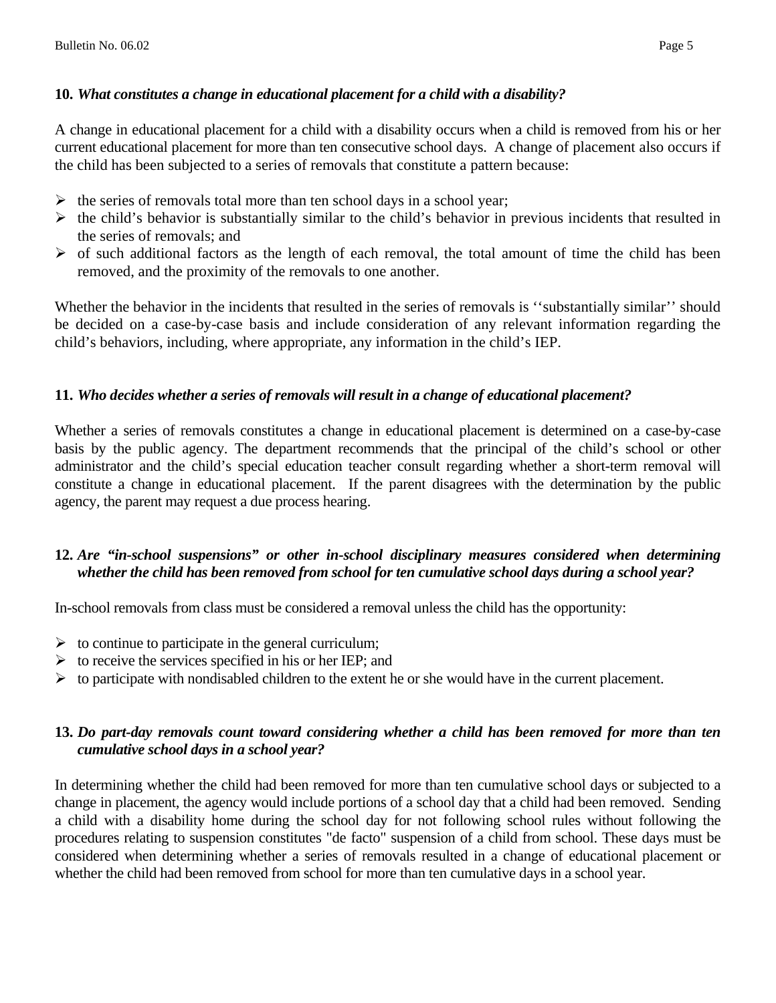## **10.** *What constitutes a change in educational placement for a child with a disability?*

A change in educational placement for a child with a disability occurs when a child is removed from his or her current educational placement for more than ten consecutive school days. A change of placement also occurs if the child has been subjected to a series of removals that constitute a pattern because:

- $\triangleright$  the series of removals total more than ten school days in a school year;
- $\triangleright$  the child's behavior is substantially similar to the child's behavior in previous incidents that resulted in the series of removals; and
- $\triangleright$  of such additional factors as the length of each removal, the total amount of time the child has been removed, and the proximity of the removals to one another.

Whether the behavior in the incidents that resulted in the series of removals is "substantially similar" should be decided on a case-by-case basis and include consideration of any relevant information regarding the child's behaviors, including, where appropriate, any information in the child's IEP.

## **11.** *Who decides whether a series of removals will result in a change of educational placement?*

Whether a series of removals constitutes a change in educational placement is determined on a case-by-case basis by the public agency. The department recommends that the principal of the child's school or other administrator and the child's special education teacher consult regarding whether a short-term removal will constitute a change in educational placement. If the parent disagrees with the determination by the public agency, the parent may request a due process hearing.

#### **12.** *Are "in-school suspensions" or other in-school disciplinary measures considered when determining whether the child has been removed from school for ten cumulative school days during a school year?*

In-school removals from class must be considered a removal unless the child has the opportunity:

- $\triangleright$  to continue to participate in the general curriculum;
- $\triangleright$  to receive the services specified in his or her IEP; and
- $\triangleright$  to participate with nondisabled children to the extent he or she would have in the current placement.

#### **13.** *Do part-day removals count toward considering whether a child has been removed for more than ten cumulative school days in a school year?*

In determining whether the child had been removed for more than ten cumulative school days or subjected to a change in placement, the agency would include portions of a school day that a child had been removed. Sending a child with a disability home during the school day for not following school rules without following the procedures relating to suspension constitutes "de facto" suspension of a child from school. These days must be considered when determining whether a series of removals resulted in a change of educational placement or whether the child had been removed from school for more than ten cumulative days in a school year.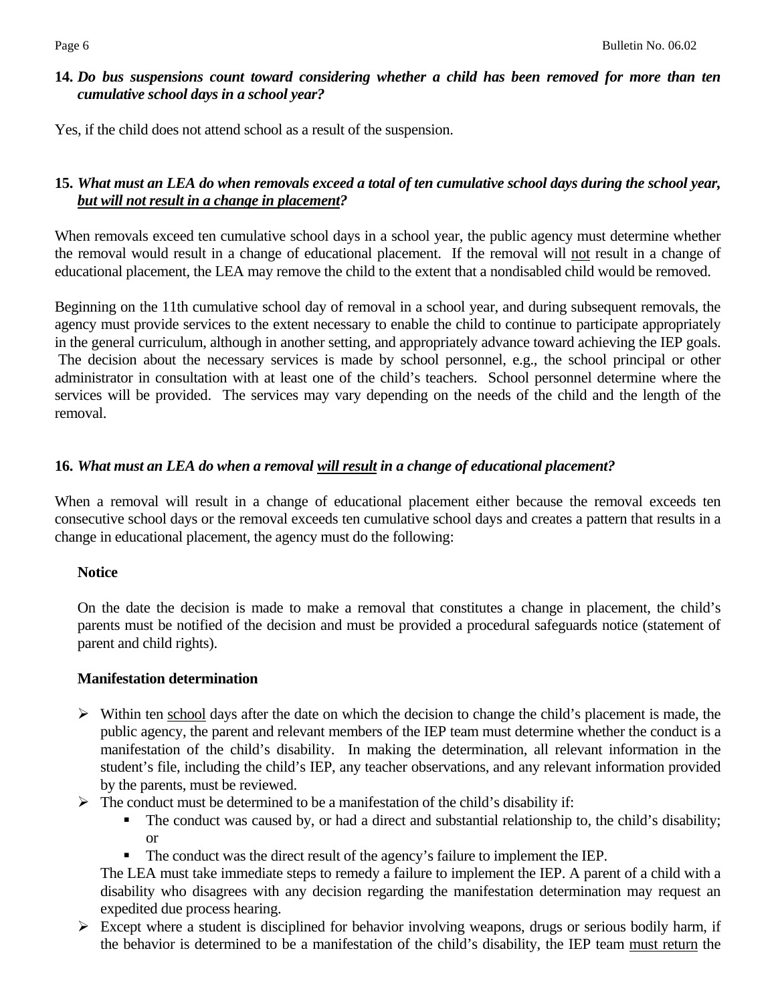#### **14.** *Do bus suspensions count toward considering whether a child has been removed for more than ten cumulative school days in a school year?*

Yes, if the child does not attend school as a result of the suspension.

#### **15.** *What must an LEA do when removals exceed a total of ten cumulative school days during the school year, but will not result in a change in placement?*

When removals exceed ten cumulative school days in a school year, the public agency must determine whether the removal would result in a change of educational placement. If the removal will not result in a change of educational placement, the LEA may remove the child to the extent that a nondisabled child would be removed.

Beginning on the 11th cumulative school day of removal in a school year, and during subsequent removals, the agency must provide services to the extent necessary to enable the child to continue to participate appropriately in the general curriculum, although in another setting, and appropriately advance toward achieving the IEP goals. The decision about the necessary services is made by school personnel, e.g., the school principal or other administrator in consultation with at least one of the child's teachers. School personnel determine where the services will be provided. The services may vary depending on the needs of the child and the length of the removal.

#### **16.** *What must an LEA do when a removal will result in a change of educational placement?*

When a removal will result in a change of educational placement either because the removal exceeds ten consecutive school days or the removal exceeds ten cumulative school days and creates a pattern that results in a change in educational placement, the agency must do the following:

#### **Notice**

On the date the decision is made to make a removal that constitutes a change in placement, the child's parents must be notified of the decision and must be provided a procedural safeguards notice (statement of parent and child rights).

#### **Manifestation determination**

- $\triangleright$  Within ten school days after the date on which the decision to change the child's placement is made, the public agency, the parent and relevant members of the IEP team must determine whether the conduct is a manifestation of the child's disability. In making the determination, all relevant information in the student's file, including the child's IEP, any teacher observations, and any relevant information provided by the parents, must be reviewed.
- $\triangleright$  The conduct must be determined to be a manifestation of the child's disability if:
	- The conduct was caused by, or had a direct and substantial relationship to, the child's disability; or
	- The conduct was the direct result of the agency's failure to implement the IEP.

The LEA must take immediate steps to remedy a failure to implement the IEP. A parent of a child with a disability who disagrees with any decision regarding the manifestation determination may request an expedited due process hearing.

 $\triangleright$  Except where a student is disciplined for behavior involving weapons, drugs or serious bodily harm, if the behavior is determined to be a manifestation of the child's disability, the IEP team must return the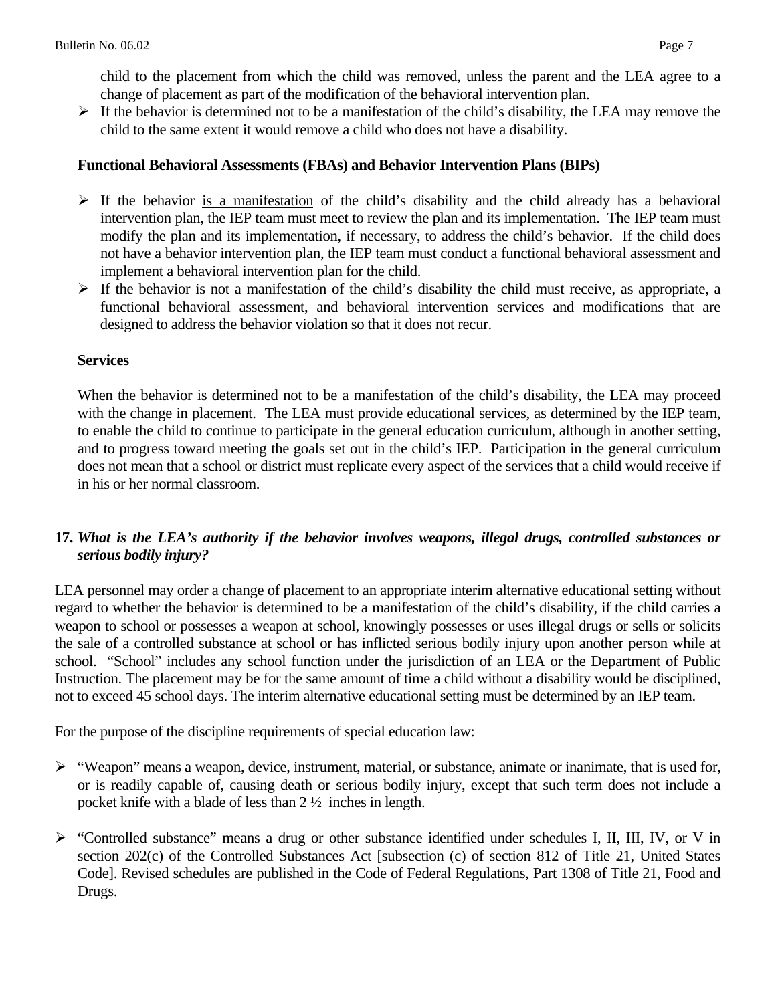child to the placement from which the child was removed, unless the parent and the LEA agree to a change of placement as part of the modification of the behavioral intervention plan.

 $\triangleright$  If the behavior is determined not to be a manifestation of the child's disability, the LEA may remove the child to the same extent it would remove a child who does not have a disability.

#### **Functional Behavioral Assessments (FBAs) and Behavior Intervention Plans (BIPs)**

- $\triangleright$  If the behavior is a manifestation of the child's disability and the child already has a behavioral intervention plan, the IEP team must meet to review the plan and its implementation. The IEP team must modify the plan and its implementation, if necessary, to address the child's behavior. If the child does not have a behavior intervention plan, the IEP team must conduct a functional behavioral assessment and implement a behavioral intervention plan for the child.
- $\triangleright$  If the behavior is not a manifestation of the child's disability the child must receive, as appropriate, a functional behavioral assessment, and behavioral intervention services and modifications that are designed to address the behavior violation so that it does not recur.

#### **Services**

When the behavior is determined not to be a manifestation of the child's disability, the LEA may proceed with the change in placement. The LEA must provide educational services, as determined by the IEP team, to enable the child to continue to participate in the general education curriculum, although in another setting, and to progress toward meeting the goals set out in the child's IEP. Participation in the general curriculum does not mean that a school or district must replicate every aspect of the services that a child would receive if in his or her normal classroom.

#### **17.** *What is the LEA's authority if the behavior involves weapons, illegal drugs, controlled substances or serious bodily injury?*

LEA personnel may order a change of placement to an appropriate interim alternative educational setting without regard to whether the behavior is determined to be a manifestation of the child's disability, if the child carries a weapon to school or possesses a weapon at school, knowingly possesses or uses illegal drugs or sells or solicits the sale of a controlled substance at school or has inflicted serious bodily injury upon another person while at school. "School" includes any school function under the jurisdiction of an LEA or the Department of Public Instruction. The placement may be for the same amount of time a child without a disability would be disciplined, not to exceed 45 school days. The interim alternative educational setting must be determined by an IEP team.

For the purpose of the discipline requirements of special education law:

- $\triangleright$  "Weapon" means a weapon, device, instrument, material, or substance, animate or inanimate, that is used for, or is readily capable of, causing death or serious bodily injury, except that such term does not include a pocket knife with a blade of less than 2 ½ inches in length.
- ¾ "Controlled substance" means a drug or other substance identified under schedules I, II, III, IV, or V in section 202(c) of the Controlled Substances Act [subsection (c) of section 812 of Title 21, United States Code]. Revised schedules are published in the Code of Federal Regulations, Part 1308 of Title 21, Food and Drugs.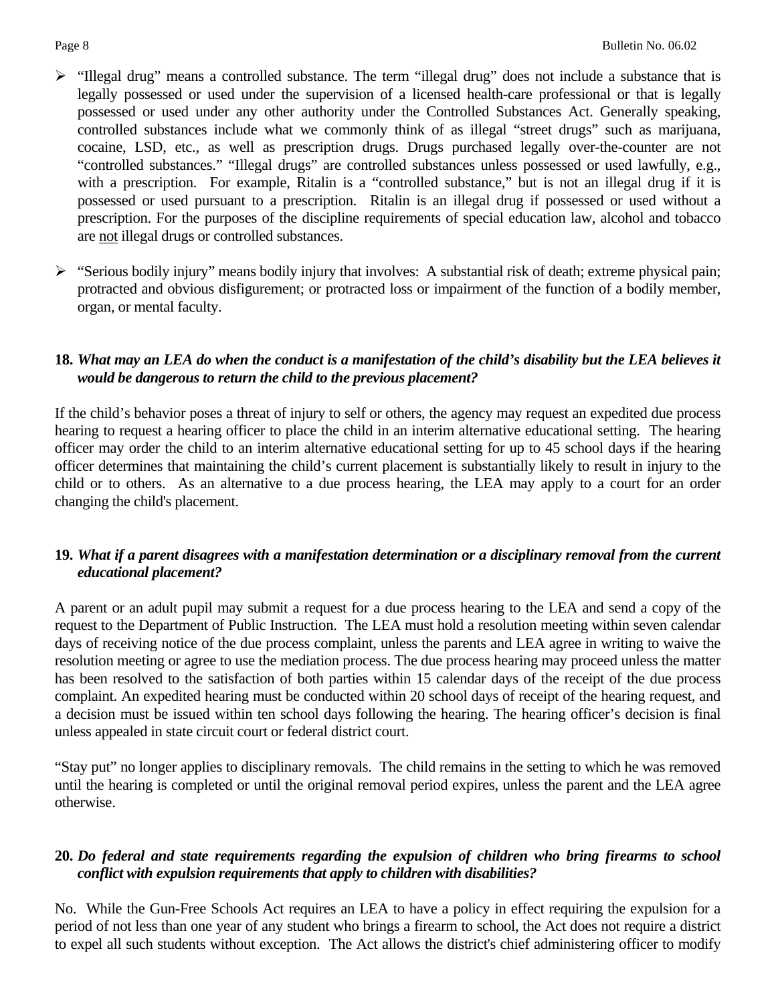- ¾ "Illegal drug" means a controlled substance. The term "illegal drug" does not include a substance that is legally possessed or used under the supervision of a licensed health-care professional or that is legally possessed or used under any other authority under the Controlled Substances Act. Generally speaking, controlled substances include what we commonly think of as illegal "street drugs" such as marijuana, cocaine, LSD, etc., as well as prescription drugs. Drugs purchased legally over-the-counter are not "controlled substances." "Illegal drugs" are controlled substances unless possessed or used lawfully, e.g., with a prescription. For example, Ritalin is a "controlled substance," but is not an illegal drug if it is possessed or used pursuant to a prescription. Ritalin is an illegal drug if possessed or used without a prescription. For the purposes of the discipline requirements of special education law, alcohol and tobacco are not illegal drugs or controlled substances.
- ¾ "Serious bodily injury" means bodily injury that involves: A substantial risk of death; extreme physical pain; protracted and obvious disfigurement; or protracted loss or impairment of the function of a bodily member, organ, or mental faculty.

#### **18.** *What may an LEA do when the conduct is a manifestation of the child's disability but the LEA believes it would be dangerous to return the child to the previous placement?*

If the child's behavior poses a threat of injury to self or others, the agency may request an expedited due process hearing to request a hearing officer to place the child in an interim alternative educational setting. The hearing officer may order the child to an interim alternative educational setting for up to 45 school days if the hearing officer determines that maintaining the child's current placement is substantially likely to result in injury to the child or to others. As an alternative to a due process hearing, the LEA may apply to a court for an order changing the child's placement.

#### **19.** *What if a parent disagrees with a manifestation determination or a disciplinary removal from the current educational placement?*

A parent or an adult pupil may submit a request for a due process hearing to the LEA and send a copy of the request to the Department of Public Instruction. The LEA must hold a resolution meeting within seven calendar days of receiving notice of the due process complaint, unless the parents and LEA agree in writing to waive the resolution meeting or agree to use the mediation process. The due process hearing may proceed unless the matter has been resolved to the satisfaction of both parties within 15 calendar days of the receipt of the due process complaint. An expedited hearing must be conducted within 20 school days of receipt of the hearing request, and a decision must be issued within ten school days following the hearing. The hearing officer's decision is final unless appealed in state circuit court or federal district court.

"Stay put" no longer applies to disciplinary removals. The child remains in the setting to which he was removed until the hearing is completed or until the original removal period expires, unless the parent and the LEA agree otherwise.

#### **20.** *Do federal and state requirements regarding the expulsion of children who bring firearms to school conflict with expulsion requirements that apply to children with disabilities?*

No. While the Gun-Free Schools Act requires an LEA to have a policy in effect requiring the expulsion for a period of not less than one year of any student who brings a firearm to school, the Act does not require a district to expel all such students without exception. The Act allows the district's chief administering officer to modify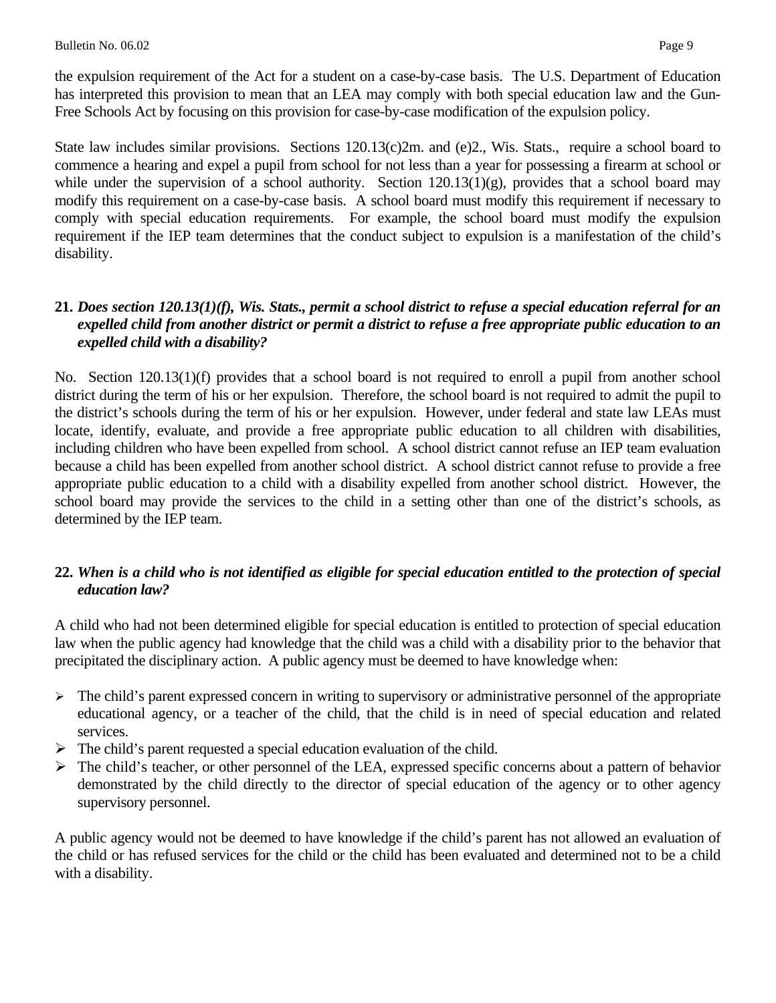the expulsion requirement of the Act for a student on a case-by-case basis. The U.S. Department of Education has interpreted this provision to mean that an LEA may comply with both special education law and the Gun-Free Schools Act by focusing on this provision for case-by-case modification of the expulsion policy.

State law includes similar provisions. Sections 120.13(c)2m. and (e)2., Wis. Stats., require a school board to commence a hearing and expel a pupil from school for not less than a year for possessing a firearm at school or while under the supervision of a school authority. Section  $120.13(1)(g)$ , provides that a school board may modify this requirement on a case-by-case basis. A school board must modify this requirement if necessary to comply with special education requirements. For example, the school board must modify the expulsion requirement if the IEP team determines that the conduct subject to expulsion is a manifestation of the child's disability.

#### **21.** *Does section 120.13(1)(f), Wis. Stats., permit a school district to refuse a special education referral for an expelled child from another district or permit a district to refuse a free appropriate public education to an expelled child with a disability?*

No. Section 120.13(1)(f) provides that a school board is not required to enroll a pupil from another school district during the term of his or her expulsion. Therefore, the school board is not required to admit the pupil to the district's schools during the term of his or her expulsion. However, under federal and state law LEAs must locate, identify, evaluate, and provide a free appropriate public education to all children with disabilities, including children who have been expelled from school. A school district cannot refuse an IEP team evaluation because a child has been expelled from another school district. A school district cannot refuse to provide a free appropriate public education to a child with a disability expelled from another school district. However, the school board may provide the services to the child in a setting other than one of the district's schools, as determined by the IEP team.

#### **22.** *When is a child who is not identified as eligible for special education entitled to the protection of special education law?*

A child who had not been determined eligible for special education is entitled to protection of special education law when the public agency had knowledge that the child was a child with a disability prior to the behavior that precipitated the disciplinary action. A public agency must be deemed to have knowledge when:

- $\triangleright$  The child's parent expressed concern in writing to supervisory or administrative personnel of the appropriate educational agency, or a teacher of the child, that the child is in need of special education and related services.
- $\triangleright$  The child's parent requested a special education evaluation of the child.
- $\triangleright$  The child's teacher, or other personnel of the LEA, expressed specific concerns about a pattern of behavior demonstrated by the child directly to the director of special education of the agency or to other agency supervisory personnel.

A public agency would not be deemed to have knowledge if the child's parent has not allowed an evaluation of the child or has refused services for the child or the child has been evaluated and determined not to be a child with a disability.